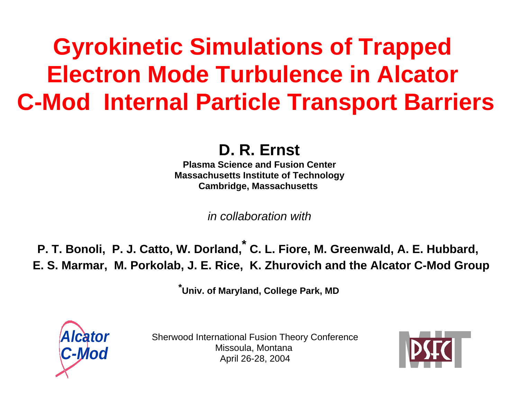# **Gyrokinetic Simulations of Trapped Electron Mode Turbulence in Alcator C-Mod Internal Particle Transport Barriers**

**D. R. Ernst**

**Plasma Science and Fusion CenterMassachusetts Institute of Technology Cambridge, Massachusetts** 

in collaboration with

**P. T. Bonoli, P. J. Catto, W. Dorland, \* C. L. Fiore, M. Greenwald, A. E. Hubbard, E. S. Marmar, M. Porkolab, J. E. Rice, K. Zhurovich and the Alcator C-Mod Group**

**\* Univ. of Maryland, College Park, MD**



Sherwood International Fusion Theory Conference Missoula, Montana April 26-28, 2004

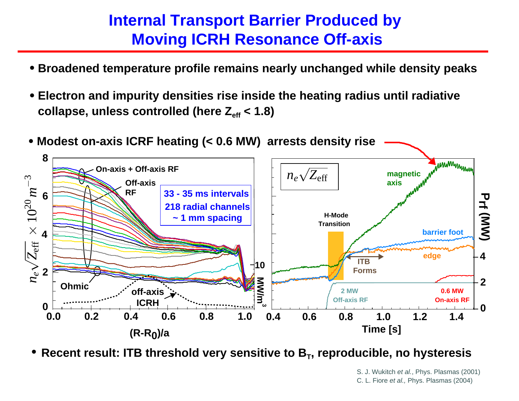#### **Internal Transport Barrier Produced by Moving ICRH Resonance Off-axis**

- **Broadened temperature profile remains nearly unchanged while density peaks**
- **Electron and impurity densities rise inside the heating radius until radiative**  collapse, unless controlled (here  $Z_{\text{eff}}$  < 1.8)



**Recent result: ITB threshold very sensitive to B T, reproducible, no hysteresis**

S. J. Wukitch et al., Phys. Plasmas (2001) C. L. Fiore et al., Phys. Plasmas (2004)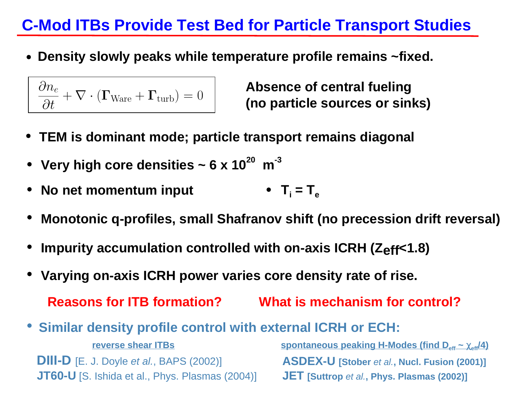### **C-Mod ITBs Provide Test Bed for Particle Transport Studies**

**Density slowly peaks while temperature profile remains ~fixed.**

$$
\frac{\partial n_e}{\partial t} + \nabla \cdot (\mathbf{\Gamma}_{\text{Ware}} + \mathbf{\Gamma}_{\text{turb}}) = 0
$$

**(no particle sources or sinks) Absence of central fueling** 

- **TEM is dominant mode; particle transport remains diagonal**
- Very high core densities  $\sim 6 \times 10^{20}$  m<sup>-3</sup>
- **No net momentum input**  $\mathsf{T}_\mathsf{i} = \mathsf{T}_\mathsf{e}$
- **Monotonic q-profiles, small Shafranov shift (no precession drift reversal)**
- **Impurity accumulation controlled with on-axis ICRH (Zeff<1.8)**
- **Varying on-axis ICRH power varies core density rate of rise.**

```
Reasons for ITB formation? What is mechanism for control? 
Similar density profile control with external ICRH or ECH:
DIII-D [E. J. Doyle et al., BAPS (2002)]
JT60-U [S. Ishida et al., Phys. Plasmas (2004)]
                                              ASDEX-U [Stober et al., Nucl. Fusion (2001)]
                                              JET [Suttrop et al., Phys. Plasmas (2002)] 
          reverse shear ITBs<u>spontaneous peaking H-Modes (find D<sub>eff</sub> ~ χ<sub>eff</sub>/4)</u>
```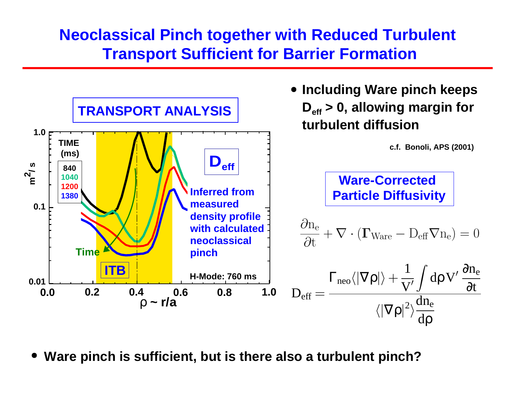#### **Neoclassical Pinch together with Reduced Turbulent Transport Sufficient for Barrier Formation**



**Ware pinch is sufficient, but is there also a turbulent pinch?**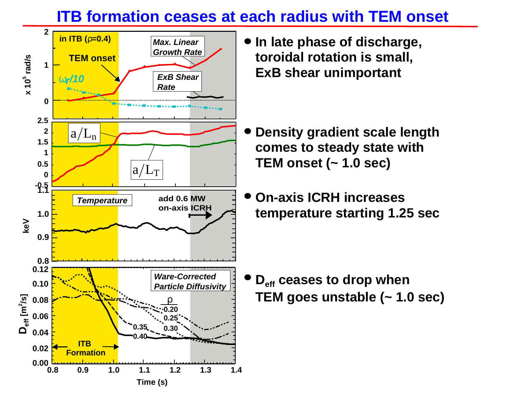#### **ITB formation ceases at each radius with TEM onset**



**In late phase of discharge, toroidal rotation is small, ExB shear unimportant**

- **Density gradient scale length comes to steady state with TEM onset (~ 1.0 sec)**
- **On-axis ICRH increases temperature starting 1.25 sec**

**D<sub>eff</sub> ceases to drop when TEM goes unstable (~ 1.0 sec)**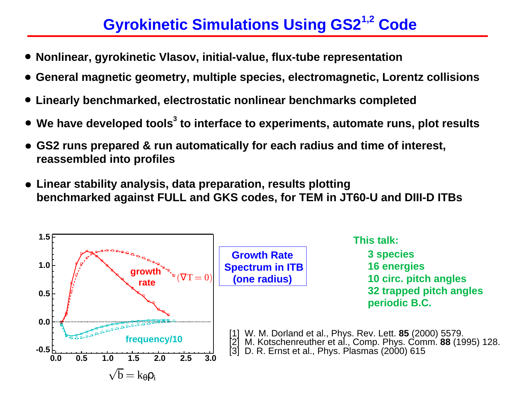## **Gyrokinetic Simulations Using GS21,2 Code**

- 
- Nonlinear, gyrokinetic Vlasov, initial-value, flux-tube representation<br>General magnetic geometry, multiple species, electromagnetic, Lorentz collisions<br>Linearly benchmarked, electrostatic nonlinear benchmarks completed<br>We
- **Linearly benchmarked, electrostatic nonlinear benchmarks completed**
- 
- **We have developed tools<br>GS2 runs prepared & run<br>reassembled into profiles** -**GS2 runs prepared & run automatically for each radius and time of interest, reassembled into profiles**
- **Linear stability analysis, data preparation, results plotting benchmarked against FULL and GKS codes, for TEM in JT60-U and DIII-D ITBs**

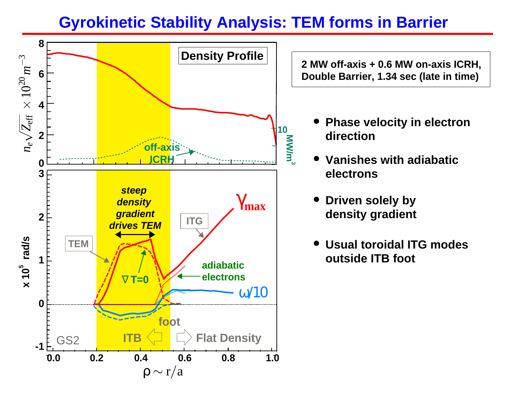#### **Gyrokinetic Stability Analysis: TEM forms in Barrier**



**2 MW off-axis + 0.6 MW on-axis ICRH, Double Barrier, 1.34 sec (late in time)**

- **Phase velocity in electron direction**
- **Vanishes with adiabaticelectrons** $\bullet$
- **Driven solely by density gradient**
- **Usual toroidal ITG modes outside ITB foot**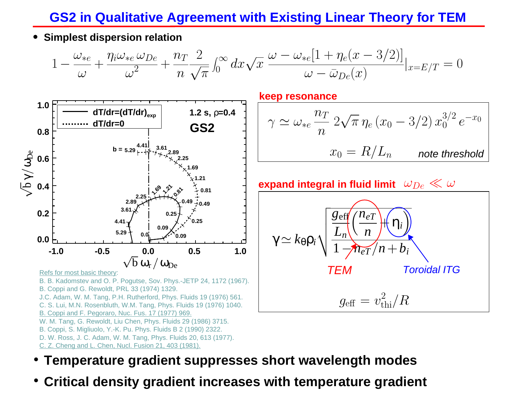#### **GS2 in Qualitative Agreement with Existing Linear Theory for TEM**

**Simplest dispersion relation**

$$
1 - \frac{\omega_{*e}}{\omega} + \frac{\eta_i \omega_{*e} \omega_{De}}{\omega^2} + \frac{n \tau}{n} \frac{2}{\sqrt{\pi}} \int_0^\infty dx \sqrt{x} \frac{\omega - \omega_{*e} [1 + \eta_e (x - 3/2)]}{\omega - \bar{\omega}_{De}(x)} |_{x = E/T} = 0
$$



C. Z. Cheng and L. Chen, Nucl. Fusion 21, 403 (1981).

**keep resonance**

$$
\gamma \simeq \omega_{*e} \frac{n_T}{n} 2\sqrt{\pi} \eta_e (x_0 - 3/2) x_0^{3/2} e^{-x_0}
$$

$$
x_0 = R/L_n \qquad \text{note threshold}
$$

#### expand integral in fluid limit  $\;\omega_{De} \ll \omega$



- **Temperature gradient suppresses short wavelength modes**
- **Critical density gradient increases with temperature gradient**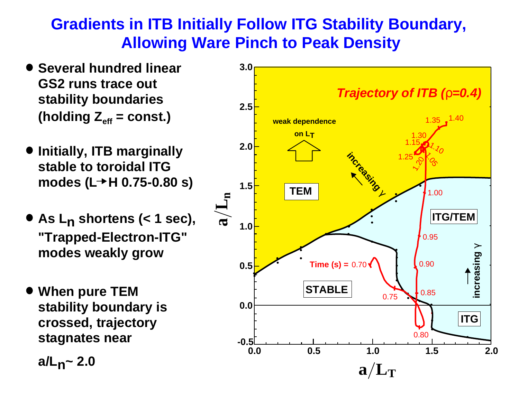#### **Gradients in ITB Initially Follow ITG Stability Boundary, Allowing Ware Pinch to Peak Density**

- **Several hundred linear GS2 runs trace out stability boundaries** (holding  $Z_{\text{eff}}$  = const.)
- **Initially, ITB marginally stable to toroidal ITG**  modes (L→H 0.75-0.80 s)
- **As L <sup>n</sup>shortens (< 1 sec), "Trapped-Electron-ITG" modes weakly grow**
- **When pure TEM stability boundary is crossed, trajectory stagnates near**

**a/L n~ 2.0**

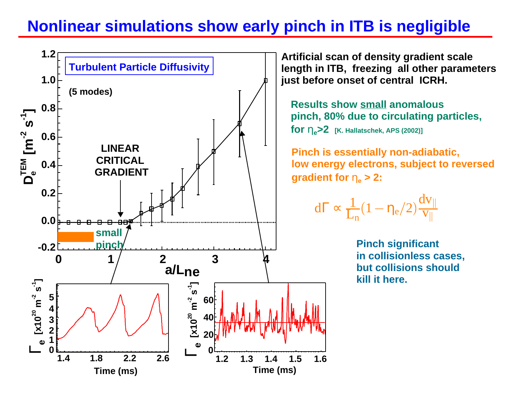### **Nonlinear simulations show early pinch in ITB is negligible**

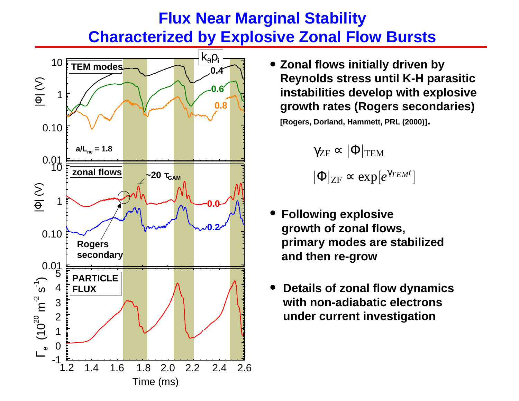#### **Flux Near Marginal Stability Characterized by Explosive Zonal Flow Bursts**



**Zonal flows initially driven by Reynolds stress until K-H parasitic instabilities develop with explosive growth rates (Rogers secondaries)**

**[Rogers, Dorland, Hammett, PRL (2000)].**

 $\gamma_{\rm ZF} \propto |\Phi|_{\rm TEM}$  $|\Phi|_{\rm ZF} \propto \exp[e^{\gamma_{TEM}t}$ ]

- **Following explosive growth of zonal flows, primary modes are stabilized and then re-grow**
- **Details of zonal flow dynamics with non-adiabatic electronsunder current investigation**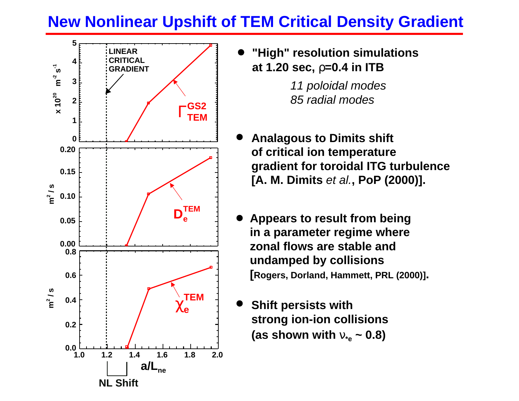### **New Nonlinear Upshift of TEM Critical Density Gradient**



**"High" resolution simulations at 1.20 sec,**  ρ**=0.4 in ITB**

> 11 poloidal modes 85 radial modes

- **Analagous to Dimits shift of critical ion temperature gradient for toroidal ITG turbulence [A. M. Dimits** et al.**, PoP (2000)].**
- **Appears to result from being in a parameter regime where zonal flows are stable andundamped by collisions [Rogers, Dorland, Hammett, PRL (2000)].**
- **Shift persists with strong ion-ion collisions (as shown with**  <sup>ν</sup>**\*e ~ 0.8)**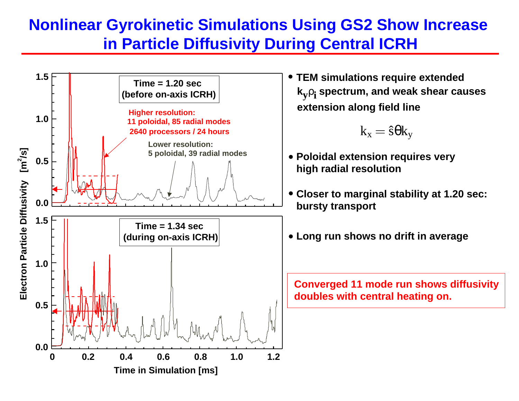#### **Nonlinear Gyrokinetic Simulations Using GS2 Show Increase in Particle Diffusivity During Central ICRH**



**k y** ρ**i spectrum, and weak shear causes extension along field line TEM simulations require extended**

$$
k_x = \hat{s} \theta k_y
$$

- **Poloidal extension requires very high radial resolution**
- **Closer to marginal stability at 1.20 sec: bursty transport**
- **Long run shows no drift in average**

**Converged 11 mode run shows diffusivity doubles with central heating on.**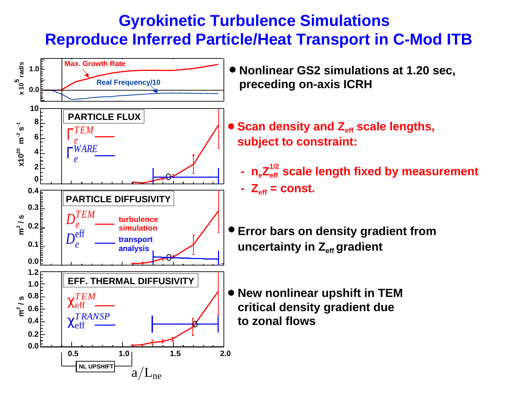#### **Gyrokinetic Turbulence Simulations Reproduce Inferred Particle/Heat Transport in C-Mod ITB**

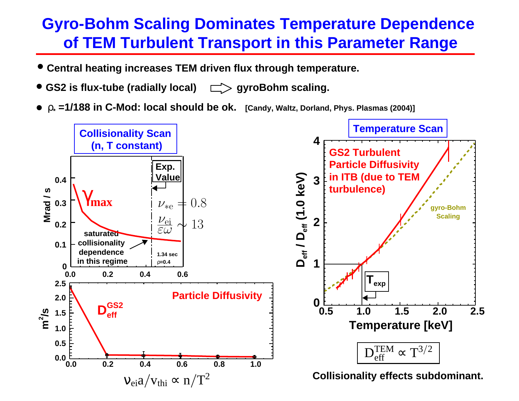#### **Gyro-Bohm Scaling Dominates Temperature Dependence of TEM Turbulent Transport in this Parameter Range**

- **Central heating increases TEM driven flux through temperature.**
- GS2 is flux-tube (radially local)  $\Box$ > gyroBohm scaling.
- ρ**\* =1/188 in C-Mod: local should be ok. [Candy, Waltz, Dorland, Phys. Plasmas (2004)]**